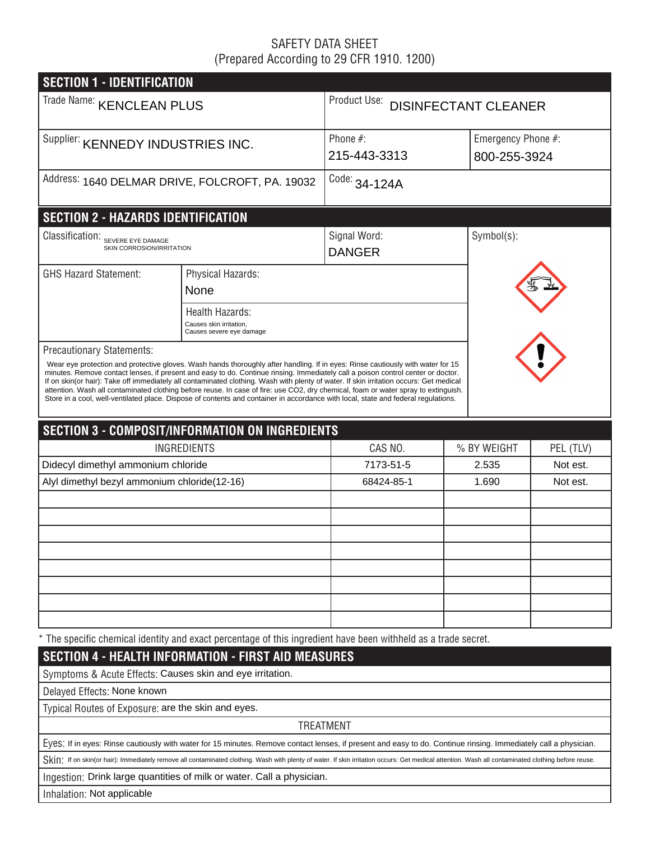# SAFETY DATA SHEET (Prepared According to 29 CFR 1910. 1200)

| <b>SECTION 1 - IDENTIFICATION</b>                                                                                                                                                                                                                                                                                                                                                                                                                                                                                                                                                                                                                                                                                             |                                                                                                                                                                                                    |                                   |             |                    |  |  |  |
|-------------------------------------------------------------------------------------------------------------------------------------------------------------------------------------------------------------------------------------------------------------------------------------------------------------------------------------------------------------------------------------------------------------------------------------------------------------------------------------------------------------------------------------------------------------------------------------------------------------------------------------------------------------------------------------------------------------------------------|----------------------------------------------------------------------------------------------------------------------------------------------------------------------------------------------------|-----------------------------------|-------------|--------------------|--|--|--|
| Trade Name: KENCLEAN PLUS                                                                                                                                                                                                                                                                                                                                                                                                                                                                                                                                                                                                                                                                                                     |                                                                                                                                                                                                    | Product Use: DISINFECTANT CLEANER |             |                    |  |  |  |
| Supplier: KENNEDY INDUSTRIES INC.                                                                                                                                                                                                                                                                                                                                                                                                                                                                                                                                                                                                                                                                                             |                                                                                                                                                                                                    | Phone $#$ :                       |             | Emergency Phone #: |  |  |  |
|                                                                                                                                                                                                                                                                                                                                                                                                                                                                                                                                                                                                                                                                                                                               |                                                                                                                                                                                                    | 215-443-3313                      |             | 800-255-3924       |  |  |  |
|                                                                                                                                                                                                                                                                                                                                                                                                                                                                                                                                                                                                                                                                                                                               | Address: 1640 DELMAR DRIVE, FOLCROFT, PA. 19032                                                                                                                                                    | Code: 34-124A                     |             |                    |  |  |  |
| <b>SECTION 2 - HAZARDS IDENTIFICATION</b>                                                                                                                                                                                                                                                                                                                                                                                                                                                                                                                                                                                                                                                                                     |                                                                                                                                                                                                    |                                   |             |                    |  |  |  |
| Classification:<br>SEVERE EYE DAMAGE<br>SKIN CORROSION/IRRITATION                                                                                                                                                                                                                                                                                                                                                                                                                                                                                                                                                                                                                                                             |                                                                                                                                                                                                    | Signal Word:<br><b>DANGER</b>     | Symbol(s):  |                    |  |  |  |
| <b>GHS Hazard Statement:</b>                                                                                                                                                                                                                                                                                                                                                                                                                                                                                                                                                                                                                                                                                                  | Physical Hazards:                                                                                                                                                                                  |                                   |             |                    |  |  |  |
|                                                                                                                                                                                                                                                                                                                                                                                                                                                                                                                                                                                                                                                                                                                               | None                                                                                                                                                                                               |                                   |             |                    |  |  |  |
|                                                                                                                                                                                                                                                                                                                                                                                                                                                                                                                                                                                                                                                                                                                               | Health Hazards:<br>Causes skin irritation.<br>Causes severe eye damage                                                                                                                             |                                   |             |                    |  |  |  |
| <b>Precautionary Statements:</b><br>Wear eye protection and protective gloves. Wash hands thoroughly after handling. If in eyes: Rinse cautiously with water for 15<br>minutes. Remove contact lenses, if present and easy to do. Continue rinsing. Immediately call a poison control center or doctor.<br>If on skin(or hair): Take off immediately all contaminated clothing. Wash with plenty of water. If skin irritation occurs: Get medical<br>attention. Wash all contaminated clothing before reuse. In case of fire: use CO2, dry chemical, foam or water spray to extinguish.<br>Store in a cool, well-ventilated place. Dispose of contents and container in accordance with local, state and federal regulations. |                                                                                                                                                                                                    |                                   |             |                    |  |  |  |
|                                                                                                                                                                                                                                                                                                                                                                                                                                                                                                                                                                                                                                                                                                                               | <b>SECTION 3 - COMPOSIT/INFORMATION ON INGREDIENTS</b>                                                                                                                                             |                                   |             |                    |  |  |  |
|                                                                                                                                                                                                                                                                                                                                                                                                                                                                                                                                                                                                                                                                                                                               | <b>INGREDIENTS</b>                                                                                                                                                                                 | CAS NO.                           | % BY WEIGHT | PEL (TLV)          |  |  |  |
| Didecyl dimethyl ammonium chloride                                                                                                                                                                                                                                                                                                                                                                                                                                                                                                                                                                                                                                                                                            |                                                                                                                                                                                                    | 7173-51-5                         | 2.535       | Not est.           |  |  |  |
| Alyl dimethyl bezyl ammonium chloride(12-16)                                                                                                                                                                                                                                                                                                                                                                                                                                                                                                                                                                                                                                                                                  |                                                                                                                                                                                                    | 68424-85-1                        | 1.690       | Not est.           |  |  |  |
|                                                                                                                                                                                                                                                                                                                                                                                                                                                                                                                                                                                                                                                                                                                               |                                                                                                                                                                                                    |                                   |             |                    |  |  |  |
|                                                                                                                                                                                                                                                                                                                                                                                                                                                                                                                                                                                                                                                                                                                               |                                                                                                                                                                                                    |                                   |             |                    |  |  |  |
|                                                                                                                                                                                                                                                                                                                                                                                                                                                                                                                                                                                                                                                                                                                               |                                                                                                                                                                                                    |                                   |             |                    |  |  |  |
|                                                                                                                                                                                                                                                                                                                                                                                                                                                                                                                                                                                                                                                                                                                               |                                                                                                                                                                                                    |                                   |             |                    |  |  |  |
|                                                                                                                                                                                                                                                                                                                                                                                                                                                                                                                                                                                                                                                                                                                               |                                                                                                                                                                                                    |                                   |             |                    |  |  |  |
|                                                                                                                                                                                                                                                                                                                                                                                                                                                                                                                                                                                                                                                                                                                               |                                                                                                                                                                                                    |                                   |             |                    |  |  |  |
|                                                                                                                                                                                                                                                                                                                                                                                                                                                                                                                                                                                                                                                                                                                               |                                                                                                                                                                                                    |                                   |             |                    |  |  |  |
|                                                                                                                                                                                                                                                                                                                                                                                                                                                                                                                                                                                                                                                                                                                               | * The specific chemical identity and exact percentage of this ingredient have been withheld as a trade secret.                                                                                     |                                   |             |                    |  |  |  |
|                                                                                                                                                                                                                                                                                                                                                                                                                                                                                                                                                                                                                                                                                                                               | <b>SECTION 4 - HEALTH INFORMATION - FIRST AID MEASURES</b>                                                                                                                                         |                                   |             |                    |  |  |  |
| Symptoms & Acute Effects: Causes skin and eye irritation.                                                                                                                                                                                                                                                                                                                                                                                                                                                                                                                                                                                                                                                                     |                                                                                                                                                                                                    |                                   |             |                    |  |  |  |
| Delayed Effects: None known                                                                                                                                                                                                                                                                                                                                                                                                                                                                                                                                                                                                                                                                                                   |                                                                                                                                                                                                    |                                   |             |                    |  |  |  |
| Typical Routes of Exposure: are the skin and eyes.                                                                                                                                                                                                                                                                                                                                                                                                                                                                                                                                                                                                                                                                            |                                                                                                                                                                                                    |                                   |             |                    |  |  |  |
|                                                                                                                                                                                                                                                                                                                                                                                                                                                                                                                                                                                                                                                                                                                               |                                                                                                                                                                                                    | <b>TREATMENT</b>                  |             |                    |  |  |  |
|                                                                                                                                                                                                                                                                                                                                                                                                                                                                                                                                                                                                                                                                                                                               | Eyes: If in eyes: Rinse cautiously with water for 15 minutes. Remove contact lenses, if present and easy to do. Continue rinsing. Immediately call a physician.                                    |                                   |             |                    |  |  |  |
|                                                                                                                                                                                                                                                                                                                                                                                                                                                                                                                                                                                                                                                                                                                               | Skin: If on skin(or hair): Immediately remove all contaminated clothing. Wash with plenty of water. If skin irritation occurs: Get medical attention. Wash all contaminated clothing before reuse. |                                   |             |                    |  |  |  |
|                                                                                                                                                                                                                                                                                                                                                                                                                                                                                                                                                                                                                                                                                                                               | Ingestion: Drink large quantities of milk or water. Call a physician.                                                                                                                              |                                   |             |                    |  |  |  |
| Inhalation: Not applicable                                                                                                                                                                                                                                                                                                                                                                                                                                                                                                                                                                                                                                                                                                    |                                                                                                                                                                                                    |                                   |             |                    |  |  |  |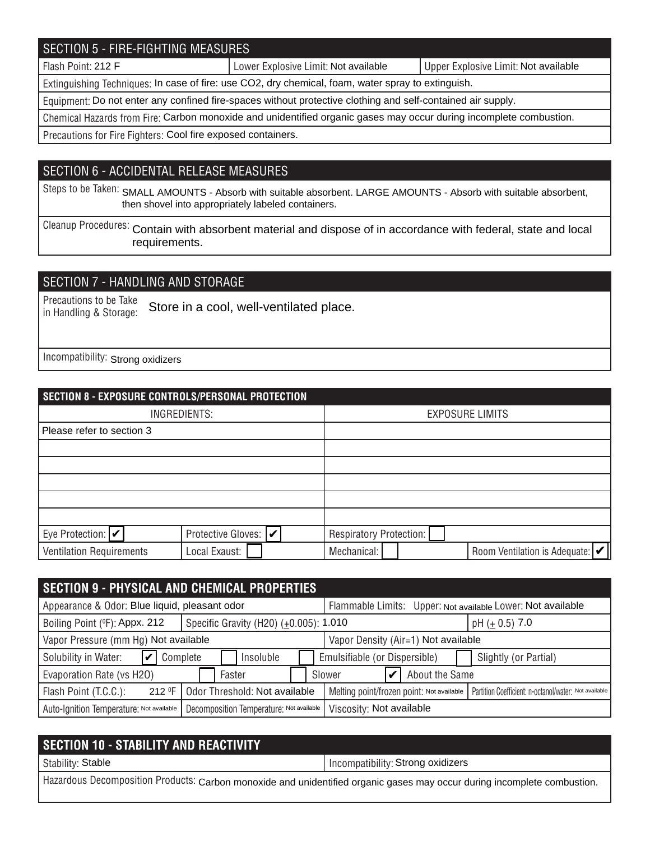## SECTION 5 - FIRE-FIGHTING MEASURES

Flash Point: 212 F **Note 20 Americ 2018** Lower Explosive Limit: Not available Not available Not available

Extinguishing Techniques: In case of fire: use CO2, dry chemical, foam, water spray to extinguish.

Equipment: Do not enter any confined fire-spaces without protective clothing and self-contained air supply.

Chemical Hazards from Fire: Carbon monoxide and unidentified organic gases may occur during incomplete combustion.

Precautions for Fire Fighters: Cool fire exposed containers.

#### SECTION 6 - ACCIDENTAL RELEASE MEASURES

Steps to be Taken: SMALL AMOUNTS - Absorb with suitable absorbent. LARGE AMOUNTS - Absorb with suitable absorbent, then shovel into appropriately labeled containers.

Cleanup Procedures: Contain with absorbent material and dispose of in accordance with federal, state and local requirements.

## SECTION 7 - HANDLING AND STORAGE

Precautions to be Take in Handling & Storage: Store in a cool, well-ventilated place.

Incompatibility: Strong oxidizers

| SECTION 8 - EXPOSURE CONTROLS/PERSONAL PROTECTION |                       |                                                              |  |  |  |  |  |
|---------------------------------------------------|-----------------------|--------------------------------------------------------------|--|--|--|--|--|
| INGREDIENTS:                                      |                       | <b>EXPOSURE LIMITS</b>                                       |  |  |  |  |  |
| Please refer to section 3                         |                       |                                                              |  |  |  |  |  |
|                                                   |                       |                                                              |  |  |  |  |  |
|                                                   |                       |                                                              |  |  |  |  |  |
|                                                   |                       |                                                              |  |  |  |  |  |
|                                                   |                       |                                                              |  |  |  |  |  |
|                                                   |                       |                                                              |  |  |  |  |  |
| Eye Protection: $ v $                             | Protective Gloves:  ✔ | Respiratory Protection:                                      |  |  |  |  |  |
| <b>Ventilation Requirements</b>                   | Local Exaust:         | Room Ventilation is Adequate: $ \mathcal{V} $<br>Mechanical: |  |  |  |  |  |

| <b>SECTION 9 - PHYSICAL AND CHEMICAL PROPERTIES</b> |                                          |                                                             |                                                                                                    |                |                       |  |
|-----------------------------------------------------|------------------------------------------|-------------------------------------------------------------|----------------------------------------------------------------------------------------------------|----------------|-----------------------|--|
| Appearance & Odor: Blue liquid, pleasant odor       |                                          | Flammable Limits: Upper: Not available Lower: Not available |                                                                                                    |                |                       |  |
| Boiling Point (°F): Appx. 212                       | Specific Gravity (H20) (±0.005): 1.010   |                                                             | pH $(\pm 0.5)$ 7.0                                                                                 |                |                       |  |
| Vapor Pressure (mm Hg) Not available                |                                          |                                                             | Vapor Density (Air=1) Not available                                                                |                |                       |  |
| Solubility in Water:<br>Complete                    | Insoluble                                |                                                             | Emulsifiable (or Dispersible)                                                                      |                | Slightly (or Partial) |  |
| Evaporation Rate (vs H2O)                           | Faster                                   |                                                             | Slower                                                                                             | About the Same |                       |  |
| Flash Point (T.C.C.):<br>212 F                      | Odor Threshold: Not available            |                                                             | Melting point/frozen point: Not available<br>Partition Coefficient: n-octanol/water: Not available |                |                       |  |
| Auto-Ignition Temperature: Not available            | Decomposition Temperature: Not available |                                                             | Viscosity: Not available                                                                           |                |                       |  |

| <b>SECTION 10 - STABILITY AND REACTIVITY</b>                                                                             |                                   |
|--------------------------------------------------------------------------------------------------------------------------|-----------------------------------|
| Stability: Stable                                                                                                        | Incompatibility: Strong oxidizers |
| Hazardous Decomposition Products: Carbon monoxide and unidentified organic gases may occur during incomplete combustion. |                                   |